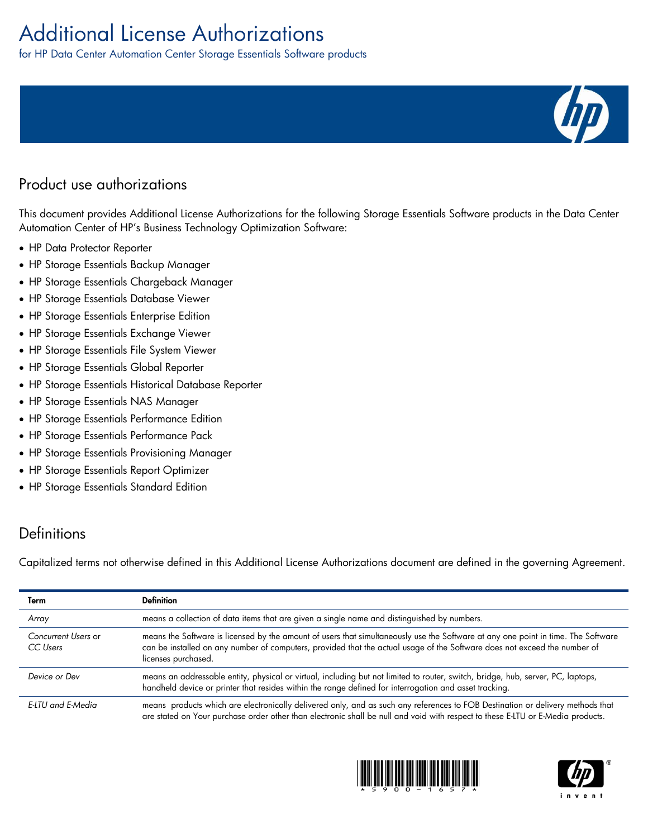# Additional License Authorizations

for HP Data Center Automation Center Storage Essentials Software products

# Product use authorizations

This document provides Additional License Authorizations for the following Storage Essentials Software products in the Data Center Automation Center of HP's Business Technology Optimization Software:

- HP Data Protector Reporter
- HP Storage Essentials Backup Manager
- HP Storage Essentials Chargeback Manager
- HP Storage Essentials Database Viewer
- HP Storage Essentials Enterprise Edition
- HP Storage Essentials Exchange Viewer
- HP Storage Essentials File System Viewer
- HP Storage Essentials Global Reporter
- HP Storage Essentials Historical Database Reporter
- HP Storage Essentials NAS Manager
- HP Storage Essentials Performance Edition
- HP Storage Essentials Performance Pack
- HP Storage Essentials Provisioning Manager
- HP Storage Essentials Report Optimizer
- HP Storage Essentials Standard Edition

## **Definitions**

Capitalized terms not otherwise defined in this Additional License Authorizations document are defined in the governing Agreement.

| Term                            | <b>Definition</b>                                                                                                                                                                                                                                                                     |
|---------------------------------|---------------------------------------------------------------------------------------------------------------------------------------------------------------------------------------------------------------------------------------------------------------------------------------|
| Array                           | means a collection of data items that are given a single name and distinguished by numbers.                                                                                                                                                                                           |
| Concurrent Users or<br>CC Users | means the Software is licensed by the amount of users that simultaneously use the Software at any one point in time. The Software<br>can be installed on any number of computers, provided that the actual usage of the Software does not exceed the number of<br>licenses purchased. |
| Device or Dev                   | means an addressable entity, physical or virtual, including but not limited to router, switch, bridge, hub, server, PC, laptops,<br>handheld device or printer that resides within the range defined for interrogation and asset tracking.                                            |
| E-LTU and E-Media               | means products which are electronically delivered only, and as such any references to FOB Destination or delivery methods that<br>are stated on Your purchase order other than electronic shall be null and void with respect to these E-LTU or E-Media products.                     |





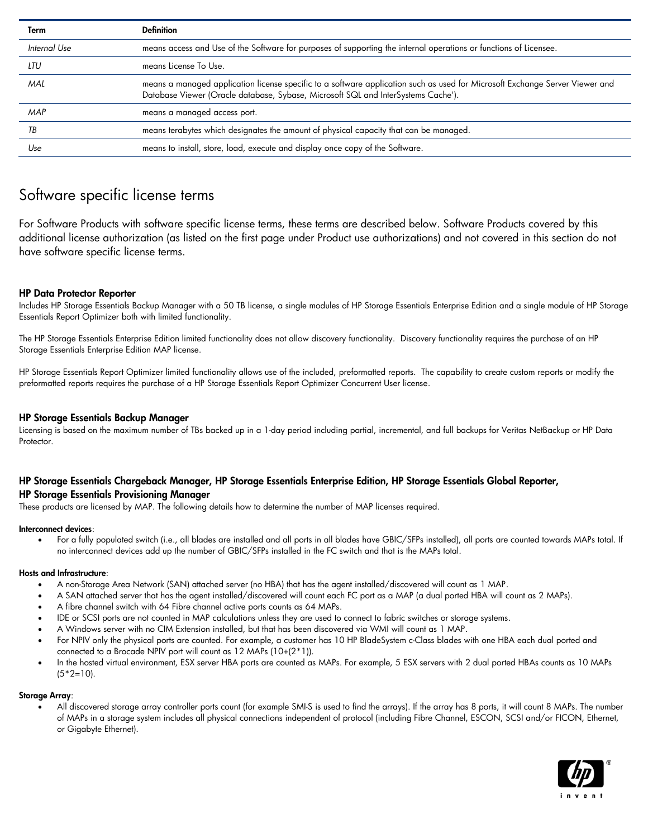| Term         | <b>Definition</b>                                                                                                                                                                                                 |
|--------------|-------------------------------------------------------------------------------------------------------------------------------------------------------------------------------------------------------------------|
| Internal Use | means access and Use of the Software for purposes of supporting the internal operations or functions of Licensee.                                                                                                 |
| LTU          | means License To Use.                                                                                                                                                                                             |
| MAL          | means a managed application license specific to a software application such as used for Microsoft Exchange Server Viewer and<br>Database Viewer (Oracle database, Sybase, Microsoft SQL and InterSystems Cache'). |
| MAP          | means a managed access port.                                                                                                                                                                                      |
| ТB           | means terabytes which designates the amount of physical capacity that can be managed.                                                                                                                             |
| Use          | means to install, store, load, execute and display once copy of the Software.                                                                                                                                     |

### Software specific license terms

For Software Products with software specific license terms, these terms are described below. Software Products covered by this additional license authorization (as listed on the first page under Product use authorizations) and not covered in this section do not have software specific license terms.

#### HP Data Protector Reporter

Includes HP Storage Essentials Backup Manager with a 50 TB license, a single modules of HP Storage Essentials Enterprise Edition and a single module of HP Storage Essentials Report Optimizer both with limited functionality.

The HP Storage Essentials Enterprise Edition limited functionality does not allow discovery functionality. Discovery functionality requires the purchase of an HP Storage Essentials Enterprise Edition MAP license.

HP Storage Essentials Report Optimizer limited functionality allows use of the included, preformatted reports. The capability to create custom reports or modify the preformatted reports requires the purchase of a HP Storage Essentials Report Optimizer Concurrent User license.

#### HP Storage Essentials Backup Manager

Licensing is based on the maximum number of TBs backed up in a 1-day period including partial, incremental, and full backups for Veritas NetBackup or HP Data Protector.

#### HP Storage Essentials Chargeback Manager, HP Storage Essentials Enterprise Edition, HP Storage Essentials Global Reporter, HP Storage Essentials Provisioning Manager

These products are licensed by MAP. The following details how to determine the number of MAP licenses required.

#### Interconnect devices:

 For a fully populated switch (i.e., all blades are installed and all ports in all blades have GBIC/SFPs installed), all ports are counted towards MAPs total. If no interconnect devices add up the number of GBIC/SFPs installed in the FC switch and that is the MAPs total.

#### Hosts and Infrastructure:

- A non-Storage Area Network (SAN) attached server (no HBA) that has the agent installed/discovered will count as 1 MAP.
- A SAN attached server that has the agent installed/discovered will count each FC port as a MAP (a dual ported HBA will count as 2 MAPs).
- A fibre channel switch with 64 Fibre channel active ports counts as 64 MAPs.
- IDE or SCSI ports are not counted in MAP calculations unless they are used to connect to fabric switches or storage systems.
- A Windows server with no CIM Extension installed, but that has been discovered via WMI will count as 1 MAP.
- For NPIV only the physical ports are counted. For example, a customer has 10 HP BladeSystem c-Class blades with one HBA each dual ported and connected to a Brocade NPIV port will count as 12 MAPs (10+(2\*1)).
- In the hosted virtual environment, ESX server HBA ports are counted as MAPs. For example, 5 ESX servers with 2 dual ported HBAs counts as 10 MAPs  $(5 * 2 = 10)$ .

#### Storage Array:

 All discovered storage array controller ports count (for example SMI-S is used to find the arrays). If the array has 8 ports, it will count 8 MAPs. The number of MAPs in a storage system includes all physical connections independent of protocol (including Fibre Channel, ESCON, SCSI and/or FICON, Ethernet, or Gigabyte Ethernet).

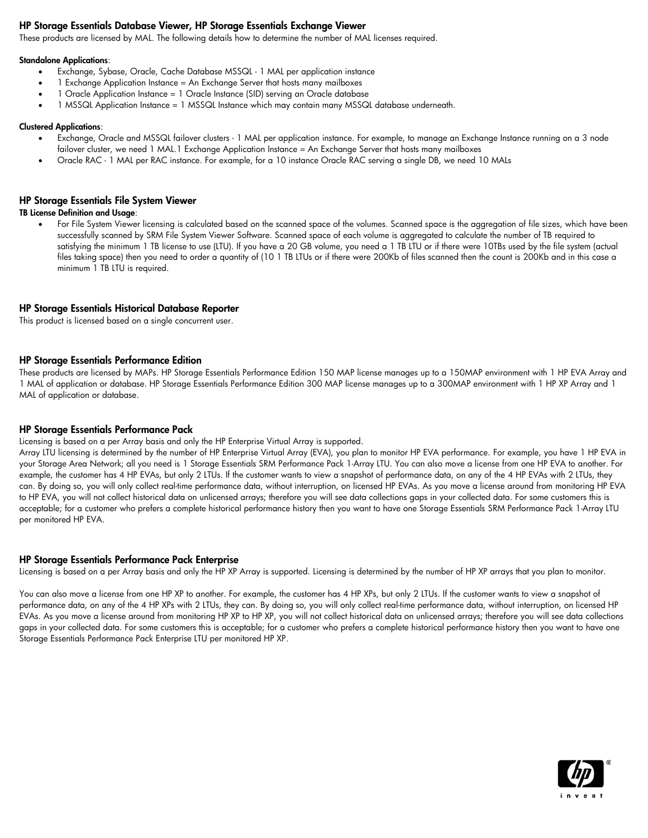#### HP Storage Essentials Database Viewer, HP Storage Essentials Exchange Viewer

These products are licensed by MAL. The following details how to determine the number of MAL licenses required.

#### Standalone Applications:

- Exchange, Sybase, Oracle, Cache Database MSSQL 1 MAL per application instance
- 1 Exchange Application Instance = An Exchange Server that hosts many mailboxes
- 1 Oracle Application Instance = 1 Oracle Instance (SID) serving an Oracle database
- 1 MSSQL Application Instance = 1 MSSQL Instance which may contain many MSSQL database underneath.

#### Clustered Applications:

- Exchange, Oracle and MSSQL failover clusters 1 MAL per application instance. For example, to manage an Exchange Instance running on a 3 node failover cluster, we need 1 MAL.1 Exchange Application Instance = An Exchange Server that hosts many mailboxes
- Oracle RAC 1 MAL per RAC instance. For example, for a 10 instance Oracle RAC serving a single DB, we need 10 MALs

#### HP Storage Essentials File System Viewer

#### TB License Definition and Usage:

 For File System Viewer licensing is calculated based on the scanned space of the volumes. Scanned space is the aggregation of file sizes, which have been successfully scanned by SRM File System Viewer Software. Scanned space of each volume is aggregated to calculate the number of TB required to satisfying the minimum 1 TB license to use (LTU). If you have a 20 GB volume, you need a 1 TB LTU or if there were 10TBs used by the file system (actual files taking space) then you need to order a quantity of (10 1 TB LTUs or if there were 200Kb of files scanned then the count is 200Kb and in this case a minimum 1 TB LTU is required.

#### HP Storage Essentials Historical Database Reporter

This product is licensed based on a single concurrent user.

#### HP Storage Essentials Performance Edition

These products are licensed by MAPs. HP Storage Essentials Performance Edition 150 MAP license manages up to a 150MAP environment with 1 HP EVA Array and 1 MAL of application or database. HP Storage Essentials Performance Edition 300 MAP license manages up to a 300MAP environment with 1 HP XP Array and 1 MAL of application or database.

#### HP Storage Essentials Performance Pack

Licensing is based on a per Array basis and only the HP Enterprise Virtual Array is supported.

Array LTU licensing is determined by the number of HP Enterprise Virtual Array (EVA), you plan to monitor HP EVA performance. For example, you have 1 HP EVA in your Storage Area Network; all you need is 1 Storage Essentials SRM Performance Pack 1-Array LTU. You can also move a license from one HP EVA to another. For example, the customer has 4 HP EVAs, but only 2 LTUs. If the customer wants to view a snapshot of performance data, on any of the 4 HP EVAs with 2 LTUs, they can. By doing so, you will only collect real-time performance data, without interruption, on licensed HP EVAs. As you move a license around from monitoring HP EVA to HP EVA, you will not collect historical data on unlicensed arrays; therefore you will see data collections gaps in your collected data. For some customers this is acceptable; for a customer who prefers a complete historical performance history then you want to have one Storage Essentials SRM Performance Pack 1-Array LTU per monitored HP EVA.

#### HP Storage Essentials Performance Pack Enterprise

Licensing is based on a per Array basis and only the HP XP Array is supported. Licensing is determined by the number of HP XP arrays that you plan to monitor.

You can also move a license from one HP XP to another. For example, the customer has 4 HP XPs, but only 2 LTUs. If the customer wants to view a snapshot of performance data, on any of the 4 HP XPs with 2 LTUs, they can. By doing so, you will only collect real-time performance data, without interruption, on licensed HP EVAs. As you move a license around from monitoring HP XP to HP XP, you will not collect historical data on unlicensed arrays; therefore you will see data collections gaps in your collected data. For some customers this is acceptable; for a customer who prefers a complete historical performance history then you want to have one Storage Essentials Performance Pack Enterprise LTU per monitored HP XP.